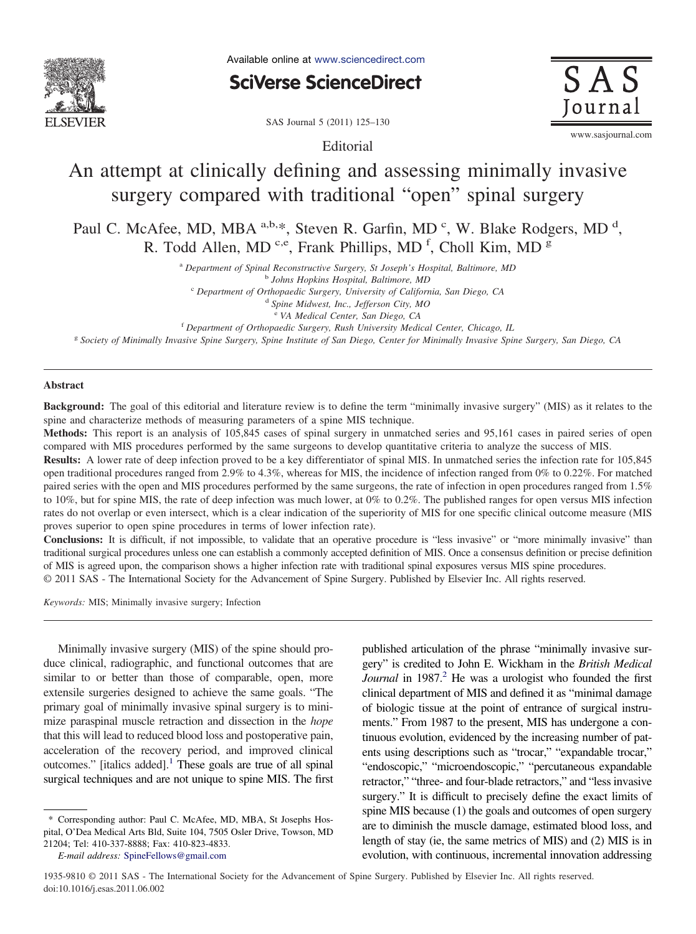

Available online at [www.sciencedirect.com](www.sasjournal.com)

**SciVerse ScienceDirect** 

SAS Journal 5 (2011) 125–130

www.sasjournal.com

SAS

Journal

# An attempt at clinically defining and assessing minimally invasive surgery compared with traditional "open" spinal surgery

Editorial

Paul C. McAfee, MD, MBA a,b,\*, Steven R. Garfin, MD<sup>c</sup>, W. Blake Rodgers, MD<sup>d</sup>, R. Todd Allen, MD<sup>c,e</sup>, Frank Phillips, MD<sup>f</sup>, Choll Kim, MD<sup>g</sup>

> <sup>a</sup> *Department of Spinal Reconstructive Surgery, St Joseph's Hospital, Baltimore, MD* <sup>b</sup> *Johns Hopkins Hospital, Baltimore, MD* <sup>c</sup> *Department of Orthopaedic Surgery, University of California, San Diego, CA* <sup>d</sup> *Spine Midwest, Inc., Jefferson City, MO* <sup>e</sup> *VA Medical Center, San Diego, CA*

<sup>f</sup> *Department of Orthopaedic Surgery, Rush University Medical Center, Chicago, IL*

<sup>g</sup> *Society of Minimally Invasive Spine Surgery, Spine Institute of San Diego, Center for Minimally Invasive Spine Surgery, San Diego, CA*

## **Abstract**

**Background:** The goal of this editorial and literature review is to define the term "minimally invasive surgery" (MIS) as it relates to the spine and characterize methods of measuring parameters of a spine MIS technique.

**Methods:** This report is an analysis of 105,845 cases of spinal surgery in unmatched series and 95,161 cases in paired series of open compared with MIS procedures performed by the same surgeons to develop quantitative criteria to analyze the success of MIS.

**Results:** A lower rate of deep infection proved to be a key differentiator of spinal MIS. In unmatched series the infection rate for 105,845 open traditional procedures ranged from 2.9% to 4.3%, whereas for MIS, the incidence of infection ranged from 0% to 0.22%. For matched paired series with the open and MIS procedures performed by the same surgeons, the rate of infection in open procedures ranged from 1.5% to 10%, but for spine MIS, the rate of deep infection was much lower, at 0% to 0.2%. The published ranges for open versus MIS infection rates do not overlap or even intersect, which is a clear indication of the superiority of MIS for one specific clinical outcome measure (MIS proves superior to open spine procedures in terms of lower infection rate).

**Conclusions:** It is difficult, if not impossible, to validate that an operative procedure is "less invasive" or "more minimally invasive" than traditional surgical procedures unless one can establish a commonly accepted definition of MIS. Once a consensus definition or precise definition of MIS is agreed upon, the comparison shows a higher infection rate with traditional spinal exposures versus MIS spine procedures. © 2011 SAS - The International Society for the Advancement of Spine Surgery. Published by Elsevier Inc. All rights reserved.

*Keywords:* MIS; Minimally invasive surgery; Infection

Minimally invasive surgery (MIS) of the spine should produce clinical, radiographic, and functional outcomes that are similar to or better than those of comparable, open, more extensile surgeries designed to achieve the same goals. "The primary goal of minimally invasive spinal surgery is to minimize paraspinal muscle retraction and dissection in the *hope* that this will lead to reduced blood loss and postoperative pain, acceleration of the recovery period, and improved clinical outcomes." [italics added][.1](#page-4-0) These goals are true of all spinal surgical techniques and are not unique to spine MIS. The first

published articulation of the phrase "minimally invasive surgery" is credited to John E. Wickham in the *British Medical Journal* in 1987.<sup>2</sup> He was a urologist who founded the first clinical department of MIS and defined it as "minimal damage of biologic tissue at the point of entrance of surgical instruments." From 1987 to the present, MIS has undergone a continuous evolution, evidenced by the increasing number of patents using descriptions such as "trocar," "expandable trocar," "endoscopic," "microendoscopic," "percutaneous expandable retractor," "three- and four-blade retractors," and "less invasive surgery." It is difficult to precisely define the exact limits of spine MIS because (1) the goals and outcomes of open surgery are to diminish the muscle damage, estimated blood loss, and length of stay (ie, the same metrics of MIS) and (2) MIS is in evolution, with continuous, incremental innovation addressing

<sup>\*</sup> Corresponding author: Paul C. McAfee, MD, MBA, St Josephs Hospital, O'Dea Medical Arts Bld, Suite 104, 7505 Osler Drive, Towson, MD 21204; Tel: 410-337-8888; Fax: 410-823-4833.

*E-mail address:* [SpineFellows@gmail.com](mailto:SpineFellows@gmail.com)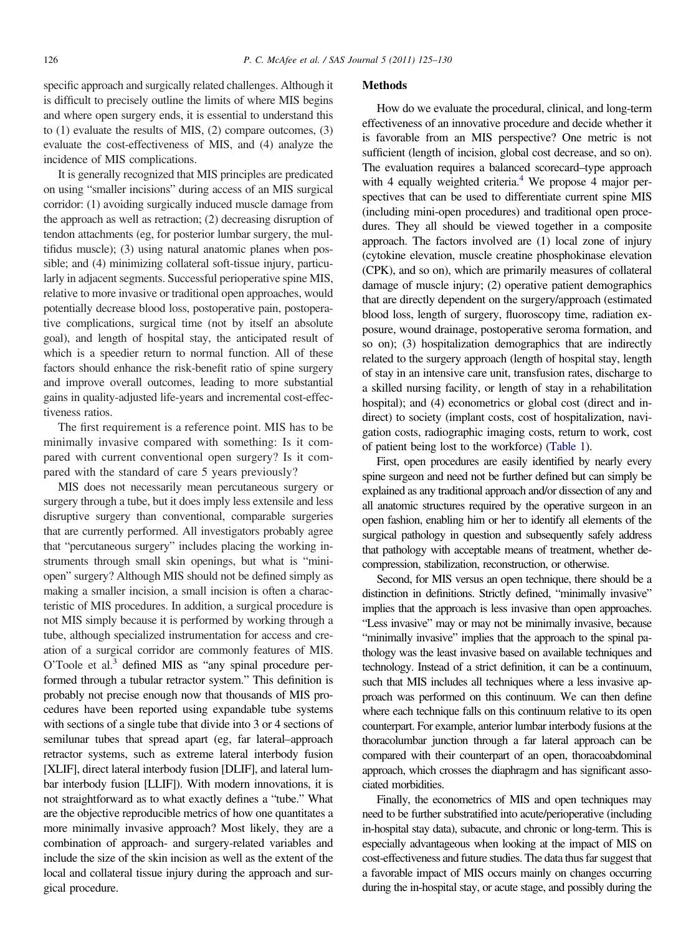specific approach and surgically related challenges. Although it is difficult to precisely outline the limits of where MIS begins and where open surgery ends, it is essential to understand this to (1) evaluate the results of MIS, (2) compare outcomes, (3) evaluate the cost-effectiveness of MIS, and (4) analyze the incidence of MIS complications.

It is generally recognized that MIS principles are predicated on using "smaller incisions" during access of an MIS surgical corridor: (1) avoiding surgically induced muscle damage from the approach as well as retraction; (2) decreasing disruption of tendon attachments (eg, for posterior lumbar surgery, the multifidus muscle); (3) using natural anatomic planes when possible; and (4) minimizing collateral soft-tissue injury, particularly in adjacent segments. Successful perioperative spine MIS, relative to more invasive or traditional open approaches, would potentially decrease blood loss, postoperative pain, postoperative complications, surgical time (not by itself an absolute goal), and length of hospital stay, the anticipated result of which is a speedier return to normal function. All of these factors should enhance the risk-benefit ratio of spine surgery and improve overall outcomes, leading to more substantial gains in quality-adjusted life-years and incremental cost-effectiveness ratios.

The first requirement is a reference point. MIS has to be minimally invasive compared with something: Is it compared with current conventional open surgery? Is it compared with the standard of care 5 years previously?

MIS does not necessarily mean percutaneous surgery or surgery through a tube, but it does imply less extensile and less disruptive surgery than conventional, comparable surgeries that are currently performed. All investigators probably agree that "percutaneous surgery" includes placing the working instruments through small skin openings, but what is "miniopen" surgery? Although MIS should not be defined simply as making a smaller incision, a small incision is often a characteristic of MIS procedures. In addition, a surgical procedure is not MIS simply because it is performed by working through a tube, although specialized instrumentation for access and creation of a surgical corridor are commonly features of MIS. O'Toole et al.<sup>3</sup> defined MIS as "any spinal procedure performed through a tubular retractor system." This definition is probably not precise enough now that thousands of MIS procedures have been reported using expandable tube systems with sections of a single tube that divide into 3 or 4 sections of semilunar tubes that spread apart (eg, far lateral–approach retractor systems, such as extreme lateral interbody fusion [XLIF], direct lateral interbody fusion [DLIF], and lateral lumbar interbody fusion [LLIF]). With modern innovations, it is not straightforward as to what exactly defines a "tube." What are the objective reproducible metrics of how one quantitates a more minimally invasive approach? Most likely, they are a combination of approach- and surgery-related variables and include the size of the skin incision as well as the extent of the local and collateral tissue injury during the approach and surgical procedure.

# **Methods**

How do we evaluate the procedural, clinical, and long-term effectiveness of an innovative procedure and decide whether it is favorable from an MIS perspective? One metric is not sufficient (length of incision, global cost decrease, and so on). The evaluation requires a balanced scorecard–type approach with 4 equally weighted criteria.<sup>4</sup> We propose 4 major perspectives that can be used to differentiate current spine MIS (including mini-open procedures) and traditional open procedures. They all should be viewed together in a composite approach. The factors involved are (1) local zone of injury (cytokine elevation, muscle creatine phosphokinase elevation (CPK), and so on), which are primarily measures of collateral damage of muscle injury; (2) operative patient demographics that are directly dependent on the surgery/approach (estimated blood loss, length of surgery, fluoroscopy time, radiation exposure, wound drainage, postoperative seroma formation, and so on); (3) hospitalization demographics that are indirectly related to the surgery approach (length of hospital stay, length of stay in an intensive care unit, transfusion rates, discharge to a skilled nursing facility, or length of stay in a rehabilitation hospital); and (4) econometrics or global cost (direct and indirect) to society (implant costs, cost of hospitalization, navigation costs, radiographic imaging costs, return to work, cost of patient being lost to the workforce) [\(Table 1\)](#page-2-0).

First, open procedures are easily identified by nearly every spine surgeon and need not be further defined but can simply be explained as any traditional approach and/or dissection of any and all anatomic structures required by the operative surgeon in an open fashion, enabling him or her to identify all elements of the surgical pathology in question and subsequently safely address that pathology with acceptable means of treatment, whether decompression, stabilization, reconstruction, or otherwise.

Second, for MIS versus an open technique, there should be a distinction in definitions. Strictly defined, "minimally invasive" implies that the approach is less invasive than open approaches. "Less invasive" may or may not be minimally invasive, because "minimally invasive" implies that the approach to the spinal pathology was the least invasive based on available techniques and technology. Instead of a strict definition, it can be a continuum, such that MIS includes all techniques where a less invasive approach was performed on this continuum. We can then define where each technique falls on this continuum relative to its open counterpart. For example, anterior lumbar interbody fusions at the thoracolumbar junction through a far lateral approach can be compared with their counterpart of an open, thoracoabdominal approach, which crosses the diaphragm and has significant associated morbidities.

Finally, the econometrics of MIS and open techniques may need to be further substratified into acute/perioperative (including in-hospital stay data), subacute, and chronic or long-term. This is especially advantageous when looking at the impact of MIS on cost-effectiveness and future studies. The data thus far suggest that a favorable impact of MIS occurs mainly on changes occurring during the in-hospital stay, or acute stage, and possibly during the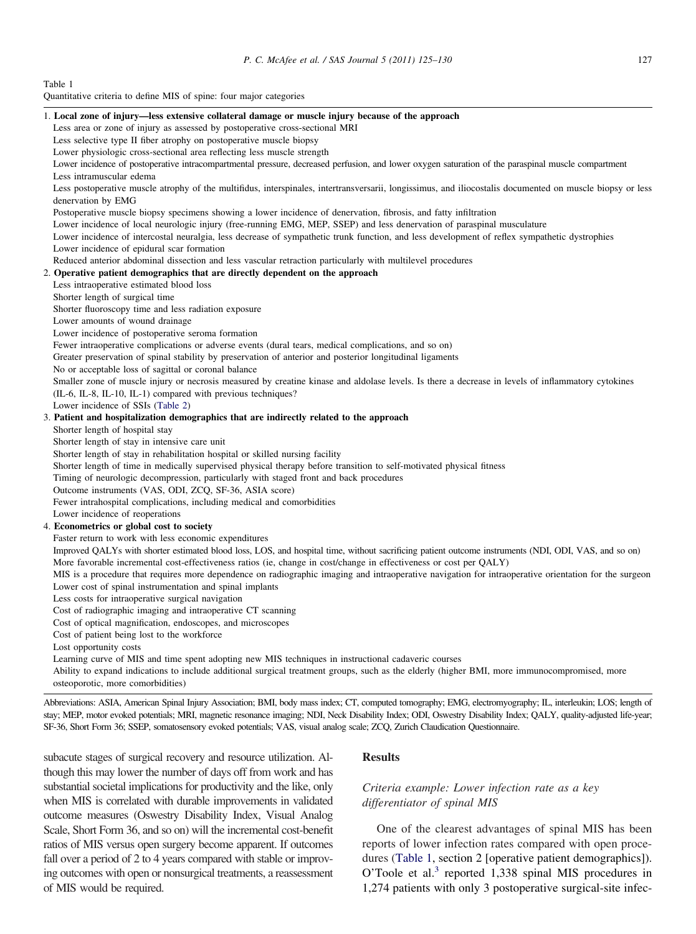<span id="page-2-0"></span>Table 1

Quantitative criteria to define MIS of spine: four major categories

| 1. Local zone of injury—less extensive collateral damage or muscle injury because of the approach                                                                               |  |
|---------------------------------------------------------------------------------------------------------------------------------------------------------------------------------|--|
| Less area or zone of injury as assessed by postoperative cross-sectional MRI                                                                                                    |  |
| Less selective type II fiber atrophy on postoperative muscle biopsy                                                                                                             |  |
| Lower physiologic cross-sectional area reflecting less muscle strength                                                                                                          |  |
| Lower incidence of postoperative intracompartmental pressure, decreased perfusion, and lower oxygen saturation of the paraspinal muscle compartment                             |  |
| Less intramuscular edema                                                                                                                                                        |  |
| Less postoperative muscle atrophy of the multifidus, interspinales, intertransversarii, longissimus, and iliocostalis documented on muscle biopsy or less<br>denervation by EMG |  |
| Postoperative muscle biopsy specimens showing a lower incidence of denervation, fibrosis, and fatty infiltration                                                                |  |
| Lower incidence of local neurologic injury (free-running EMG, MEP, SSEP) and less denervation of paraspinal musculature                                                         |  |
| Lower incidence of intercostal neuralgia, less decrease of sympathetic trunk function, and less development of reflex sympathetic dystrophies                                   |  |
| Lower incidence of epidural scar formation                                                                                                                                      |  |
| Reduced anterior abdominal dissection and less vascular retraction particularly with multilevel procedures                                                                      |  |
| 2. Operative patient demographics that are directly dependent on the approach                                                                                                   |  |
| Less intraoperative estimated blood loss                                                                                                                                        |  |
| Shorter length of surgical time                                                                                                                                                 |  |
| Shorter fluoroscopy time and less radiation exposure                                                                                                                            |  |
| Lower amounts of wound drainage                                                                                                                                                 |  |
| Lower incidence of postoperative seroma formation                                                                                                                               |  |
| Fewer intraoperative complications or adverse events (dural tears, medical complications, and so on)                                                                            |  |
| Greater preservation of spinal stability by preservation of anterior and posterior longitudinal ligaments                                                                       |  |
| No or acceptable loss of sagittal or coronal balance                                                                                                                            |  |
| Smaller zone of muscle injury or necrosis measured by creatine kinase and aldolase levels. Is there a decrease in levels of inflammatory cytokines                              |  |
| (IL-6, IL-8, IL-10, IL-1) compared with previous techniques?                                                                                                                    |  |
| Lower incidence of SSIs (Table 2)                                                                                                                                               |  |
| 3. Patient and hospitalization demographics that are indirectly related to the approach                                                                                         |  |
| Shorter length of hospital stay                                                                                                                                                 |  |
| Shorter length of stay in intensive care unit                                                                                                                                   |  |
| Shorter length of stay in rehabilitation hospital or skilled nursing facility                                                                                                   |  |
| Shorter length of time in medically supervised physical therapy before transition to self-motivated physical fitness                                                            |  |
| Timing of neurologic decompression, particularly with staged front and back procedures                                                                                          |  |
| Outcome instruments (VAS, ODI, ZCQ, SF-36, ASIA score)                                                                                                                          |  |
| Fewer intrahospital complications, including medical and comorbidities                                                                                                          |  |
| Lower incidence of reoperations                                                                                                                                                 |  |
| 4. Econometrics or global cost to society                                                                                                                                       |  |
| Faster return to work with less economic expenditures                                                                                                                           |  |
| Improved QALYs with shorter estimated blood loss, LOS, and hospital time, without sacrificing patient outcome instruments (NDI, ODI, VAS, and so on)                            |  |
| More favorable incremental cost-effectiveness ratios (ie, change in cost/change in effectiveness or cost per QALY)                                                              |  |
| MIS is a procedure that requires more dependence on radiographic imaging and intraoperative navigation for intraoperative orientation for the surgeon                           |  |
| Lower cost of spinal instrumentation and spinal implants                                                                                                                        |  |
| Less costs for intraoperative surgical navigation                                                                                                                               |  |
| Cost of radiographic imaging and intraoperative CT scanning                                                                                                                     |  |
| Cost of optical magnification, endoscopes, and microscopes                                                                                                                      |  |
| Cost of patient being lost to the workforce                                                                                                                                     |  |
| Lost opportunity costs                                                                                                                                                          |  |
| Learning curve of MIS and time spent adopting new MIS techniques in instructional cadaveric courses                                                                             |  |
| Ability to expand indications to include additional surgical treatment groups, such as the elderly (higher BMI, more immunocompromised, more                                    |  |
| osteoporotic, more comorbidities)                                                                                                                                               |  |
|                                                                                                                                                                                 |  |
| Abbreviations: ASIA, American Spinal Injury Association; BMI, body mass index; CT, computed tomography; EMG, electromyography; IL, interleukin; LOS; length of                  |  |
| stay; MEP, motor evoked potentials; MRI, magnetic resonance imaging; NDI, Neck Disability Index; ODI, Oswestry Disability Index; QALY, quality-adjusted life-year;              |  |
| SF-36, Short Form 36; SSEP, somatosensory evoked potentials; VAS, visual analog scale; ZCQ, Zurich Claudication Questionnaire.                                                  |  |
|                                                                                                                                                                                 |  |
| moneta stagge of question magazing and magazing utilization A1<br>$D_{\alpha\alpha\beta}$                                                                                       |  |

subacute stages of surgical recovery and resource utilization. Although this may lower the number of days off from work and has substantial societal implications for productivity and the like, only when MIS is correlated with durable improvements in validated outcome measures (Oswestry Disability Index, Visual Analog Scale, Short Form 36, and so on) will the incremental cost-benefit ratios of MIS versus open surgery become apparent. If outcomes fall over a period of 2 to 4 years compared with stable or improving outcomes with open or nonsurgical treatments, a reassessment of MIS would be required.

#### **Results**

# *Criteria example: Lower infection rate as a key differentiator of spinal MIS*

One of the clearest advantages of spinal MIS has been reports of lower infection rates compared with open procedures [\(Table 1,](#page-2-0) section 2 [operative patient demographics]). O'Toole et al.<sup>3</sup> reported 1,338 spinal MIS procedures in 1,274 patients with only 3 postoperative surgical-site infec-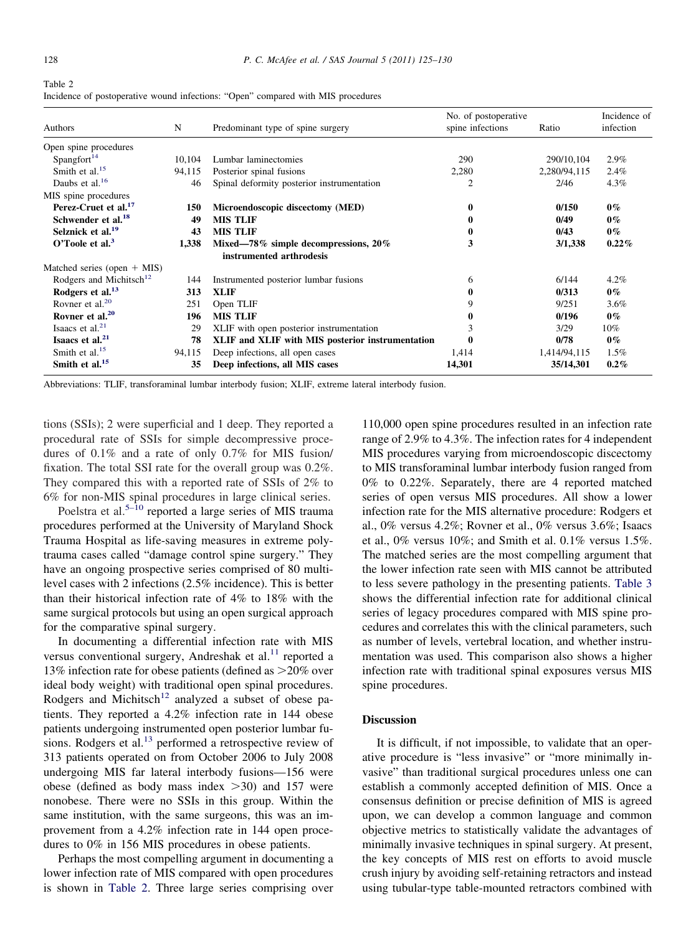|                                     |        |                                                  | No. of postoperative |              | Incidence of |
|-------------------------------------|--------|--------------------------------------------------|----------------------|--------------|--------------|
| Authors                             | N      | Predominant type of spine surgery                | spine infections     | Ratio        | infection    |
| Open spine procedures               |        |                                                  |                      |              |              |
| Spangfort <sup>14</sup>             | 10,104 | Lumbar laminectomies                             | 290                  | 290/10,104   | 2.9%         |
| Smith et al. $15$                   | 94,115 | Posterior spinal fusions                         | 2,280                | 2,280/94,115 | 2.4%         |
| Daubs et al. $16$                   | 46     | Spinal deformity posterior instrumentation       | $\overline{2}$       | 2/46         | 4.3%         |
| MIS spine procedures                |        |                                                  |                      |              |              |
| Perez-Cruet et al. <sup>17</sup>    | 150    | Microendoscopic discectomy (MED)                 | 0                    | 0/150        | $0\%$        |
| Schwender et al. <sup>18</sup>      | 49     | <b>MIS TLIF</b>                                  | 0                    | 0/49         | $0\%$        |
| Selznick et al. <sup>19</sup>       | 43     | <b>MIS TLIF</b>                                  | $\mathbf{0}$         | 0/43         | $0\%$        |
| O'Toole et al. $3$                  | 1,338  | Mixed—78% simple decompressions, $20\%$          | 3                    | 3/1,338      | 0.22%        |
|                                     |        | instrumented arthrodesis                         |                      |              |              |
| Matched series (open $+$ MIS)       |        |                                                  |                      |              |              |
| Rodgers and Michitsch <sup>12</sup> | 144    | Instrumented posterior lumbar fusions            | 6                    | 6/144        | 4.2%         |
| Rodgers et al. <sup>13</sup>        | 313    | <b>XLIF</b>                                      | $\bf{0}$             | 0/313        | $0\%$        |
| Rovner et al. <sup>20</sup>         | 251    | Open TLIF                                        | 9                    | 9/251        | 3.6%         |
| Rovner et al. <sup>20</sup>         | 196    | <b>MIS TLIF</b>                                  | 0                    | 0/196        | $0\%$        |
| Isaacs et al. $^{21}$               | 29     | XLIF with open posterior instrumentation         | 3                    | 3/29         | $10\%$       |
| Isaacs et al. $^{21}$               | 78     | XLIF and XLIF with MIS posterior instrumentation | $\bf{0}$             | 0/78         | $0\%$        |
| Smith et al. $15$                   | 94,115 | Deep infections, all open cases                  | 1,414                | 1,414/94,115 | 1.5%         |
| Smith et al. <sup>15</sup>          | 35     | Deep infections, all MIS cases                   | 14,301               | 35/14,301    | $0.2\%$      |

<span id="page-3-0"></span>Table 2 Incidence of postoperative wound infections: "Open" compared with MIS procedures

Abbreviations: TLIF, transforaminal lumbar interbody fusion; XLIF, extreme lateral interbody fusion.

tions (SSIs); 2 were superficial and 1 deep. They reported a procedural rate of SSIs for simple decompressive procedures of 0.1% and a rate of only 0.7% for MIS fusion/ fixation. The total SSI rate for the overall group was 0.2%. They compared this with a reported rate of SSIs of 2% to 6% for non-MIS spinal procedures in large clinical series.

Poelstra et al. $5-10$  reported a large series of MIS trauma procedures performed at the University of Maryland Shock Trauma Hospital as life-saving measures in extreme polytrauma cases called "damage control spine surgery." They have an ongoing prospective series comprised of 80 multilevel cases with 2 infections (2.5% incidence). This is better than their historical infection rate of 4% to 18% with the same surgical protocols but using an open surgical approach for the comparative spinal surgery.

In documenting a differential infection rate with MIS versus conventional surgery, Andreshak et al.<sup>[11](#page-4-5)</sup> reported a 13% infection rate for obese patients (defined as  $>$ 20% over ideal body weight) with traditional open spinal procedures. Rodgers and Michitsch<sup>12</sup> analyzed a subset of obese patients. They reported a 4.2% infection rate in 144 obese patients undergoing instrumented open posterior lumbar fusions. Rodgers et al.<sup>13</sup> performed a retrospective review of 313 patients operated on from October 2006 to July 2008 undergoing MIS far lateral interbody fusions—156 were obese (defined as body mass index  $>30$ ) and 157 were nonobese. There were no SSIs in this group. Within the same institution, with the same surgeons, this was an improvement from a 4.2% infection rate in 144 open procedures to 0% in 156 MIS procedures in obese patients.

Perhaps the most compelling argument in documenting a lower infection rate of MIS compared with open procedures is shown in [Table 2.](#page-3-0) Three large series comprising over 110,000 open spine procedures resulted in an infection rate range of 2.9% to 4.3%. The infection rates for 4 independent MIS procedures varying from microendoscopic discectomy to MIS transforaminal lumbar interbody fusion ranged from 0% to 0.22%. Separately, there are 4 reported matched series of open versus MIS procedures. All show a lower infection rate for the MIS alternative procedure: Rodgers et al., 0% versus 4.2%; Rovner et al., 0% versus 3.6%; Isaacs et al., 0% versus 10%; and Smith et al. 0.1% versus 1.5%. The matched series are the most compelling argument that the lower infection rate seen with MIS cannot be attributed to less severe pathology in the presenting patients. [Table 3](#page-4-8) shows the differential infection rate for additional clinical series of legacy procedures compared with MIS spine procedures and correlates this with the clinical parameters, such as number of levels, vertebral location, and whether instrumentation was used. This comparison also shows a higher infection rate with traditional spinal exposures versus MIS spine procedures.

## **Discussion**

It is difficult, if not impossible, to validate that an operative procedure is "less invasive" or "more minimally invasive" than traditional surgical procedures unless one can establish a commonly accepted definition of MIS. Once a consensus definition or precise definition of MIS is agreed upon, we can develop a common language and common objective metrics to statistically validate the advantages of minimally invasive techniques in spinal surgery. At present, the key concepts of MIS rest on efforts to avoid muscle crush injury by avoiding self-retaining retractors and instead using tubular-type table-mounted retractors combined with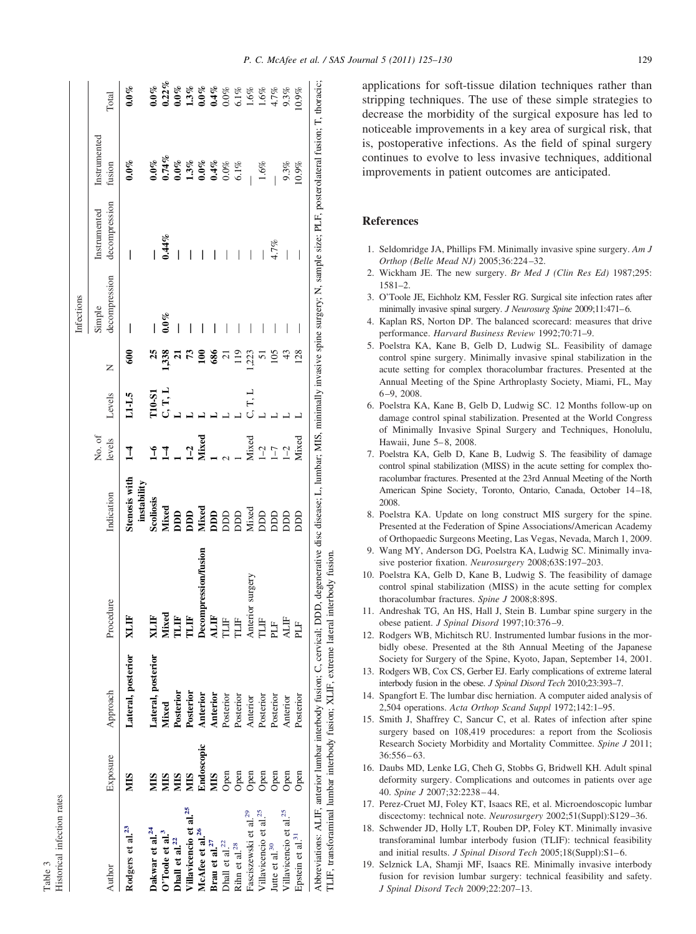<span id="page-4-8"></span>

| č<br>t |
|--------|
|        |
|        |

|                                                                                       |                       |                    |                                                                                                                                                                                                                |                                     |                |               |       | Infections    |                          |                                 |                                                                                                                                                                                                                                                                                             |
|---------------------------------------------------------------------------------------|-----------------------|--------------------|----------------------------------------------------------------------------------------------------------------------------------------------------------------------------------------------------------------|-------------------------------------|----------------|---------------|-------|---------------|--------------------------|---------------------------------|---------------------------------------------------------------------------------------------------------------------------------------------------------------------------------------------------------------------------------------------------------------------------------------------|
|                                                                                       |                       |                    |                                                                                                                                                                                                                |                                     | No. of         |               |       | Simple        | Instrumented             | Instrumented                    |                                                                                                                                                                                                                                                                                             |
| Author                                                                                | Exposure              | Approach           | Procedure                                                                                                                                                                                                      | Indication                          | levels         | Levels        | Z     | decompression | decompression            | fusion                          | Total                                                                                                                                                                                                                                                                                       |
| Rodgers et al. <sup>23</sup>                                                          | SIM                   | Lateral, posterior | <b>ALIK</b>                                                                                                                                                                                                    | <b>Stenosis with</b><br>instability |                | <b>CT-LI</b>  | 8     |               |                          | $0.0\%$                         | $0.0\%$                                                                                                                                                                                                                                                                                     |
| Dakwar et al. <sup>24</sup>                                                           | SIM                   | Lateral, posterior | <b>ALT</b>                                                                                                                                                                                                     | <b>Scoliosis</b>                    | ۴              | <b>T10-S1</b> |       |               |                          | $0.0\%$                         | $0.0\%$                                                                                                                                                                                                                                                                                     |
| O'Toole et al. <sup>3</sup>                                                           | SIM                   | Mixed              | Mixed                                                                                                                                                                                                          | Mixed                               | $\mathbf{I}$   | C, T, L       | 1,338 | $0.0\%$       | 0.44%                    | 0.74%                           |                                                                                                                                                                                                                                                                                             |
| Dhall et al. <sup>22</sup>                                                            | SIIN                  | Posterior          | <b>TLIF</b>                                                                                                                                                                                                    | $\overline{a}$                      |                |               |       |               | I                        |                                 | $\begin{array}{l} 0.22\% \\ 0.09\% \\ 0.13\% \\ 0.04\% \\ 0.05\% \\ 0.04\% \\ 0.05\% \\ 0.05\% \\ 0.05\% \\ 0.05\% \\ 0.05\% \\ 0.05\% \\ 0.05\% \\ 0.05\% \\ 0.05\% \\ 0.05\% \\ 0.05\% \\ 0.05\% \\ 0.05\% \\ 0.05\% \\ 0.05\% \\ 0.05\% \\ 0.05\% \\ 0.05\% \\ 0.05\% \\ 0.05\% \\ 0.05$ |
| Villavicencio et al. <sup>25</sup>                                                    | <b>NIIS</b>           | Posterior          | <b>TLIF</b>                                                                                                                                                                                                    | <b>a</b>                            | $\overline{1}$ |               |       |               |                          |                                 |                                                                                                                                                                                                                                                                                             |
| McAfee et al. <sup>26</sup>                                                           | Endoscopic            | Anterior           | pression/fusion<br>Decom                                                                                                                                                                                       | Mixed                               | Mixed          |               |       |               |                          |                                 |                                                                                                                                                                                                                                                                                             |
| Brau et al. $^{27}$                                                                   | SIM                   | Anterior           | ALIF                                                                                                                                                                                                           | <b>DOD</b>                          |                |               | 88    |               |                          |                                 |                                                                                                                                                                                                                                                                                             |
| Dhall et al. <sup>22</sup>                                                            |                       | Posterior          | $\frac{1}{2}$                                                                                                                                                                                                  | DDD                                 |                |               |       |               |                          | $0.0\%$<br>1.3%<br>0.0%<br>0.0% |                                                                                                                                                                                                                                                                                             |
| Rihn et al. $^{28}$                                                                   | es a a<br>Se a a<br>S | Posterior          | Ë                                                                                                                                                                                                              | DDD                                 |                |               |       |               |                          | $6.1\%$                         |                                                                                                                                                                                                                                                                                             |
| Fasciszewski et al. <sup>29</sup>                                                     |                       | Anterior           | $s$ urgery<br>Anterior                                                                                                                                                                                         | Mixed                               | Mixed          | J, T, L       | 223   |               | I                        |                                 |                                                                                                                                                                                                                                                                                             |
| Villavicencio et al. <sup>25</sup>                                                    |                       | Posterior          | TLIF                                                                                                                                                                                                           | <b>DDD</b>                          | $1 - 2$        |               |       |               |                          | $1.6\%$                         |                                                                                                                                                                                                                                                                                             |
| Jutte et al. <sup>30</sup>                                                            | Open                  | Posterior          | FLE                                                                                                                                                                                                            | qqq                                 | $\overline{1}$ |               |       |               | 4.7%                     |                                 | 4.7%<br>9.3%                                                                                                                                                                                                                                                                                |
| Villavicencio et al. <sup>25</sup>                                                    | Open                  | Anterior           | <b>ALIF</b>                                                                                                                                                                                                    | aaa                                 | $1 - 2$        |               |       |               | $\overline{\phantom{a}}$ | 9.3%                            |                                                                                                                                                                                                                                                                                             |
| Epstein et al. <sup>31</sup>                                                          | Open                  | Posterior          | FLE                                                                                                                                                                                                            | <b>OCC</b>                          | Mixed          |               | 128   |               | I                        | 10.9%                           | 0.9%                                                                                                                                                                                                                                                                                        |
| TLIF, transforaminal lumbar interbody fusion; XLIF, extreme lateral interbody fusion. |                       |                    | Abbreviations: ALIF, anterior lumbar interbody fusion; C, cervical; DDD, degenerative disc disease; L, lumbar; MIS, minimally invasive spine surgery; N, sample size; PLF, posterolateral fusion; T, thoracic; |                                     |                |               |       |               |                          |                                 |                                                                                                                                                                                                                                                                                             |

# <span id="page-4-0"></span>**References**

- 1. Seldomridge JA, Phillips FM. Minimally invasive spine surgery. *Am J Orthop (Belle Mead NJ)* 2005;36:224 –32.
- <span id="page-4-2"></span><span id="page-4-1"></span>2. Wickham JE. The new surgery. *Br Med J (Clin Res Ed)* 1987;295: 1581–2.
- <span id="page-4-3"></span>3. O'Toole JE, Eichholz KM, Fessler RG. Surgical site infection rates after minimally invasive spinal surgery. *J Neurosurg Spine* 2009;11:471–6.
- <span id="page-4-4"></span>4. Kaplan RS, Norton DP. The balanced scorecard: measures that drive performance. *Harvard Business Review* 1992;70:71–9.
- 5. Poelstra KA, Kane B, Gelb D, Ludwig SL. Feasibility of damage control spine surgery. Minimally invasive spinal stabilization in the acute setting for complex thoracolumbar fractures. Presented at the Annual Meeting of the Spine Arthroplasty Society, Miami, FL, May 6 –9, 2008.
- 6. Poelstra KA, Kane B, Gelb D, Ludwig SC. 12 Months follow-up on damage control spinal stabilization. Presented at the World Congress of Minimally Invasive Spinal Surgery and Techniques, Honolulu, Hawaii, June 5– 8, 2008.
- 7. Poelstra KA, Gelb D, Kane B, Ludwig S. The feasibility of damage control spinal stabilization (MISS) in the acute setting for complex thoracolumbar fractures. Presented at the 23rd Annual Meeting of the North American Spine Society, Toronto, Ontario, Canada, October 14 –18, 2008.
- 8. Poelstra KA. Update on long construct MIS surgery for the spine. Presented at the Federation of Spine Associations/American Academy of Orthopaedic Surgeons Meeting, Las Vegas, Nevada, March 1, 2009.
- 9. Wang MY, Anderson DG, Poelstra KA, Ludwig SC. Minimally invasive posterior fixation. *Neurosurgery* 2008;63S:197–203.
- 10. Poelstra KA, Gelb D, Kane B, Ludwig S. The feasibility of damage control spinal stabilization (MISS) in the acute setting for complex thoracolumbar fractures. *Spine J* 2008;8:89S.
- <span id="page-4-6"></span><span id="page-4-5"></span>11. Andreshak TG, An HS, Hall J, Stein B. Lumbar spine surgery in the obese patient. *J Spinal Disord* 1997;10:376 –9.
- 12. Rodgers WB, Michitsch RU. Instrumented lumbar fusions in the morbidly obese. Presented at the 8th Annual Meeting of the Japanese Society for Surgery of the Spine, Kyoto, Japan, September 14, 2001.
- <span id="page-4-9"></span><span id="page-4-7"></span>13. Rodgers WB, Cox CS, Gerber EJ. Early complications of extreme lateral interbody fusion in the obese. *J Spinal Disord Tech* 2010;23:393–7.
- <span id="page-4-10"></span>14. Spangfort E. The lumbar disc herniation. A computer aided analysis of 2,504 operations. *Acta Orthop Scand Suppl* 1972;142:1–95.
- 15. Smith J, Shaffrey C, Sancur C, et al. Rates of infection after spine surgery based on 108,419 procedures: a report from the Scoliosis Research Society Morbidity and Mortality Committee. *Spine J* 2011; 36:556 – 63.
- <span id="page-4-12"></span><span id="page-4-11"></span>16. Daubs MD, Lenke LG, Cheh G, Stobbs G, Bridwell KH. Adult spinal deformity surgery. Complications and outcomes in patients over age 40. *Spine J* 2007;32:2238 – 44.
- <span id="page-4-13"></span>17. Perez-Cruet MJ, Foley KT, Isaacs RE, et al. Microendoscopic lumbar discectomy: technical note. *Neurosurgery* 2002;51(Suppl):S129 –36.
- <span id="page-4-14"></span>18. Schwender JD, Holly LT, Rouben DP, Foley KT. Minimally invasive transforaminal lumbar interbody fusion (TLIF): technical feasibility and initial results. *J Spinal Disord Tech* 2005;18(Suppl):S1-6.
- 19. Selznick LA, Shamji MF, Isaacs RE. Minimally invasive interbody fusion for revision lumbar surgery: technical feasibility and safety. *J Spinal Disord Tech* 2009;22:207–13.

TLIF, transforaminal lumbar interbody fusion; XLIF, extreme lateral interbody fusion.